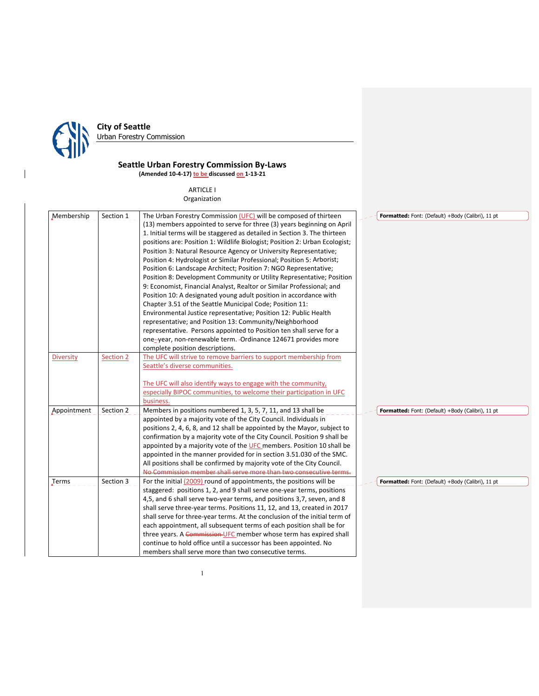

 $\mathsf I$ 

# **City of Seattle**

Urban Forestry Commission

# **Seattle Urban Forestry Commission By‐Laws (Amended 10‐4‐17) to be discussed on 1‐13‐21**

ARTICLE I Organization

| Membership       | Section 1 | The Urban Forestry Commission (UFC) will be composed of thirteen            | Formatted: Font: (Default) +Body (Calibri), 11 pt |
|------------------|-----------|-----------------------------------------------------------------------------|---------------------------------------------------|
|                  |           | (13) members appointed to serve for three (3) years beginning on April      |                                                   |
|                  |           | 1. Initial terms will be staggered as detailed in Section 3. The thirteen   |                                                   |
|                  |           | positions are: Position 1: Wildlife Biologist; Position 2: Urban Ecologist; |                                                   |
|                  |           |                                                                             |                                                   |
|                  |           | Position 3: Natural Resource Agency or University Representative;           |                                                   |
|                  |           | Position 4: Hydrologist or Similar Professional; Position 5: Arborist;      |                                                   |
|                  |           | Position 6: Landscape Architect; Position 7: NGO Representative;            |                                                   |
|                  |           | Position 8: Development Community or Utility Representative; Position       |                                                   |
|                  |           | 9: Economist, Financial Analyst, Realtor or Similar Professional; and       |                                                   |
|                  |           | Position 10: A designated young adult position in accordance with           |                                                   |
|                  |           | Chapter 3.51 of the Seattle Municipal Code; Position 11:                    |                                                   |
|                  |           | Environmental Justice representative; Position 12: Public Health            |                                                   |
|                  |           | representative; and Position 13: Community/Neighborhood                     |                                                   |
|                  |           | representative. Persons appointed to Position ten shall serve for a         |                                                   |
|                  |           | one--year, non-renewable term. - Ordinance 124671 provides more             |                                                   |
|                  |           | complete position descriptions.                                             |                                                   |
| <b>Diversity</b> | Section 2 | The UFC will strive to remove barriers to support membership from           |                                                   |
|                  |           | Seattle's diverse communities.                                              |                                                   |
|                  |           |                                                                             |                                                   |
|                  |           | The UFC will also identify ways to engage with the community,               |                                                   |
|                  |           | especially BIPOC communities, to welcome their participation in UFC         |                                                   |
|                  |           | business.                                                                   |                                                   |
| Appointment      | Section 2 | Members in positions numbered 1, 3, 5, 7, 11, and 13 shall be               | Formatted: Font: (Default) +Body (Calibri), 11 pt |
|                  |           | appointed by a majority vote of the City Council. Individuals in            |                                                   |
|                  |           | positions 2, 4, 6, 8, and 12 shall be appointed by the Mayor, subject to    |                                                   |
|                  |           | confirmation by a majority vote of the City Council. Position 9 shall be    |                                                   |
|                  |           | appointed by a majority vote of the UFC members. Position 10 shall be       |                                                   |
|                  |           | appointed in the manner provided for in section 3.51.030 of the SMC.        |                                                   |
|                  |           | All positions shall be confirmed by majority vote of the City Council.      |                                                   |
|                  |           | No Commission member shall serve more than two consecutive terms.           |                                                   |
| Terms            | Section 3 | For the initial (2009) round of appointments, the positions will be         | Formatted: Font: (Default) +Body (Calibri), 11 pt |
|                  |           | staggered: positions 1, 2, and 9 shall serve one-year terms, positions      |                                                   |
|                  |           | 4,5, and 6 shall serve two-year terms, and positions 3,7, seven, and 8      |                                                   |
|                  |           | shall serve three-year terms. Positions 11, 12, and 13, created in 2017     |                                                   |
|                  |           | shall serve for three-year terms. At the conclusion of the initial term of  |                                                   |
|                  |           | each appointment, all subsequent terms of each position shall be for        |                                                   |
|                  |           | three years. A Commission-UFC member whose term has expired shall           |                                                   |
|                  |           | continue to hold office until a successor has been appointed. No            |                                                   |
|                  |           | members shall serve more than two consecutive terms.                        |                                                   |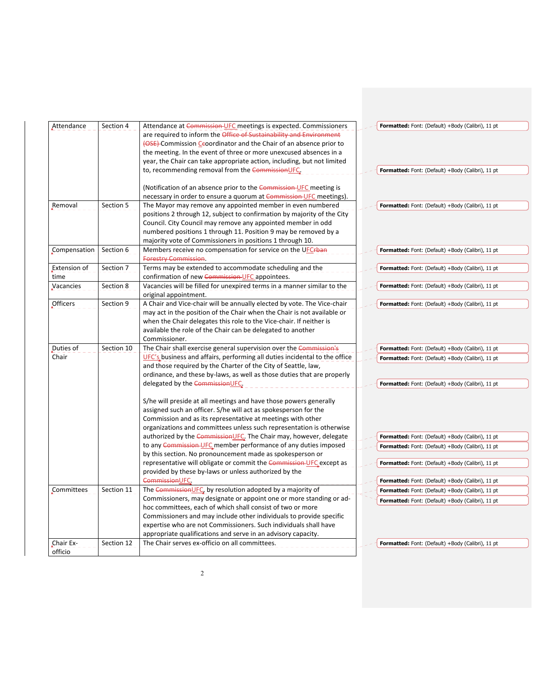| Attendance   | Section 4  | Attendance at Commission-UFC meetings is expected. Commissioners                                 | Formatted: Font: (Default) +Body (Calibri), 11 pt |
|--------------|------------|--------------------------------------------------------------------------------------------------|---------------------------------------------------|
|              |            | are required to inform the Office of Sustainability and Environment                              |                                                   |
|              |            | (OSE) Commission Ceoordinator and the Chair of an absence prior to                               |                                                   |
|              |            | the meeting. In the event of three or more unexcused absences in a                               |                                                   |
|              |            | year, the Chair can take appropriate action, including, but not limited                          |                                                   |
|              |            | to, recommending removal from the CommissionUFC.                                                 | Formatted: Font: (Default) +Body (Calibri), 11 pt |
|              |            |                                                                                                  |                                                   |
|              |            | (Notification of an absence prior to the Commission-UFC meeting is                               |                                                   |
|              |            | necessary in order to ensure a quorum at Commission UFC meetings).                               |                                                   |
| Removal      | Section 5  | The Mayor may remove any appointed member in even numbered                                       | Formatted: Font: (Default) +Body (Calibri), 11 pt |
|              |            | positions 2 through 12, subject to confirmation by majority of the City                          |                                                   |
|              |            | Council. City Council may remove any appointed member in odd                                     |                                                   |
|              |            | numbered positions 1 through 11. Position 9 may be removed by a                                  |                                                   |
|              |            | majority vote of Commissioners in positions 1 through 10.                                        |                                                   |
| Compensation | Section 6  | Members receive no compensation for service on the UFCrban                                       | Formatted: Font: (Default) +Body (Calibri), 11 pt |
|              |            | <b>Forestry Commission</b>                                                                       |                                                   |
| Extension of | Section 7  | Terms may be extended to accommodate scheduling and the                                          | Formatted: Font: (Default) +Body (Calibri), 11 pt |
| time         |            | confirmation of new Commission-UFC appointees.                                                   |                                                   |
| Vacancies    | Section 8  | Vacancies will be filled for unexpired terms in a manner similar to the<br>original appointment. | Formatted: Font: (Default) +Body (Calibri), 11 pt |
| Officers     | Section 9  | A Chair and Vice-chair will be annually elected by vote. The Vice-chair                          | Formatted: Font: (Default) +Body (Calibri), 11 pt |
|              |            | may act in the position of the Chair when the Chair is not available or                          |                                                   |
|              |            | when the Chair delegates this role to the Vice-chair. If neither is                              |                                                   |
|              |            | available the role of the Chair can be delegated to another                                      |                                                   |
|              |            | Commissioner.                                                                                    |                                                   |
| Duties of    | Section 10 | The Chair shall exercise general supervision over the Commission's                               | Formatted: Font: (Default) +Body (Calibri), 11 pt |
| Chair        |            | UFC's business and affairs, performing all duties incidental to the office                       |                                                   |
|              |            | and those required by the Charter of the City of Seattle, law,                                   | Formatted: Font: (Default) +Body (Calibri), 11 pt |
|              |            | ordinance, and these by-laws, as well as those duties that are properly                          |                                                   |
|              |            | delegated by the CommissionUFC.                                                                  | Formatted: Font: (Default) +Body (Calibri), 11 pt |
|              |            |                                                                                                  |                                                   |
|              |            | S/he will preside at all meetings and have those powers generally                                |                                                   |
|              |            | assigned such an officer. S/he will act as spokesperson for the                                  |                                                   |
|              |            | Commission and as its representative at meetings with other                                      |                                                   |
|              |            | organizations and committees unless such representation is otherwise                             |                                                   |
|              |            | authorized by the CommissionUFC. The Chair may, however, delegate                                | Formatted: Font: (Default) +Body (Calibri), 11 pt |
|              |            | to any Commission UFC member performance of any duties imposed                                   | Formatted: Font: (Default) +Body (Calibri), 11 pt |
|              |            | by this section. No pronouncement made as spokesperson or                                        |                                                   |
|              |            | representative will obligate or commit the Commission-UFC except as                              | Formatted: Font: (Default) +Body (Calibri), 11 pt |
|              |            | provided by these by-laws or unless authorized by the                                            |                                                   |
|              |            | Commission UFC.                                                                                  | Formatted: Font: (Default) +Body (Calibri), 11 pt |
| Committees   | Section 11 | The Commission UFC, by resolution adopted by a majority of                                       | Formatted: Font: (Default) +Body (Calibri), 11 pt |
|              |            | Commissioners, may designate or appoint one or more standing or ad-                              | Formatted: Font: (Default) +Body (Calibri), 11 pt |
|              |            | hoc committees, each of which shall consist of two or more                                       |                                                   |
|              |            | Commissioners and may include other individuals to provide specific                              |                                                   |
|              |            | expertise who are not Commissioners. Such individuals shall have                                 |                                                   |
|              |            | appropriate qualifications and serve in an advisory capacity.                                    |                                                   |
| Chair Ex-    | Section 12 | The Chair serves ex-officio on all committees.                                                   | Formatted: Font: (Default) +Body (Calibri), 11 pt |
| officio      |            |                                                                                                  |                                                   |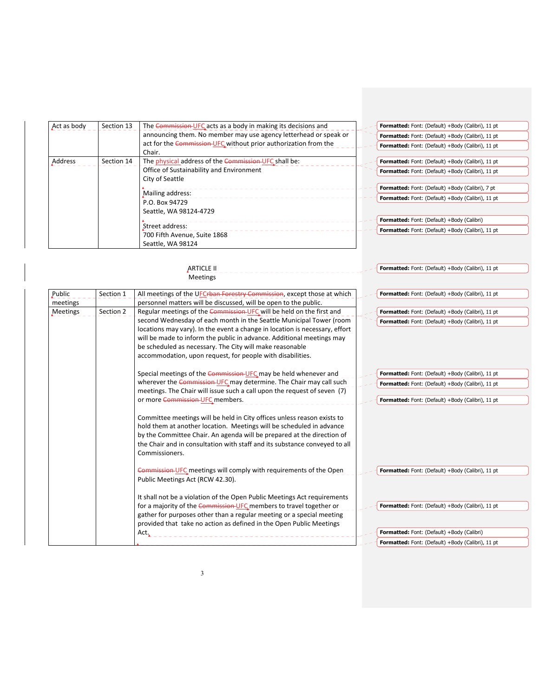| Act as body | Section 13 | The Commission-UFC acts as a body in making its decisions and    | Formatted: Font: (Default) +Body (Calibri), 11 pt |
|-------------|------------|------------------------------------------------------------------|---------------------------------------------------|
|             |            | announcing them. No member may use agency letterhead or speak or | Formatted: Font: (Default) +Body (Calibri), 11 pt |
|             |            | act for the Commission UFC without prior authorization from the  | Formatted: Font: (Default) +Body (Calibri), 11 pt |
|             |            | Chair.                                                           |                                                   |
| Address     | Section 14 | The physical address of the Commission-UFC shall be:             | Formatted: Font: (Default) +Body (Calibri), 11 pt |
|             |            | Office of Sustainability and Environment                         | Formatted: Font: (Default) +Body (Calibri), 11 pt |
|             |            | City of Seattle                                                  |                                                   |
|             |            |                                                                  | Formatted: Font: (Default) +Body (Calibri), 7 pt  |
|             |            | Mailing address:<br>P.O. Box 94729                               | Formatted: Font: (Default) +Body (Calibri), 11 pt |
|             |            |                                                                  |                                                   |
|             |            | Seattle, WA 98124-4729                                           |                                                   |
|             |            |                                                                  | Formatted: Font: (Default) +Body (Calibri)        |
|             |            | Street address:                                                  | Formatted: Font: (Default) +Body (Calibri), 11 pt |
|             |            | 700 Fifth Avenue, Suite 1868                                     |                                                   |
|             |            | Seattle, WA 98124                                                |                                                   |

|                    |           | <b>ARTICLE II</b><br><b>Meetings</b>                                                                                                                                                                                                                                                                                                                  | Formatted: Font: (Default) +Body (Calibri), 11 pt |
|--------------------|-----------|-------------------------------------------------------------------------------------------------------------------------------------------------------------------------------------------------------------------------------------------------------------------------------------------------------------------------------------------------------|---------------------------------------------------|
| Public<br>meetings | Section 1 | All meetings of the UFCrban Forestry Commission, except those at which<br>personnel matters will be discussed, will be open to the public.                                                                                                                                                                                                            | Formatted: Font: (Default) +Body (Calibri), 11 pt |
| Meetings           | Section 2 | Regular meetings of the Commission-UFC will be held on the first and                                                                                                                                                                                                                                                                                  | Formatted: Font: (Default) +Body (Calibri), 11 pt |
|                    |           | second Wednesday of each month in the Seattle Municipal Tower (room<br>locations may vary). In the event a change in location is necessary, effort<br>will be made to inform the public in advance. Additional meetings may<br>be scheduled as necessary. The City will make reasonable<br>accommodation, upon request, for people with disabilities. | Formatted: Font: (Default) +Body (Calibri), 11 pt |
|                    |           | Special meetings of the Commission-UFC may be held whenever and                                                                                                                                                                                                                                                                                       | Formatted: Font: (Default) +Body (Calibri), 11 pt |
|                    |           | wherever the Commission-UFC may determine. The Chair may call such                                                                                                                                                                                                                                                                                    | Formatted: Font: (Default) +Body (Calibri), 11 pt |
|                    |           | meetings. The Chair will issue such a call upon the request of seven (7)                                                                                                                                                                                                                                                                              |                                                   |
|                    |           | or more Commission-UFC members.                                                                                                                                                                                                                                                                                                                       | Formatted: Font: (Default) +Body (Calibri), 11 pt |
|                    |           | Committee meetings will be held in City offices unless reason exists to<br>hold them at another location. Meetings will be scheduled in advance<br>by the Committee Chair. An agenda will be prepared at the direction of<br>the Chair and in consultation with staff and its substance conveyed to all<br>Commissioners.                             |                                                   |
|                    |           | Commission-UFC meetings will comply with requirements of the Open<br>Public Meetings Act (RCW 42.30).                                                                                                                                                                                                                                                 | Formatted: Font: (Default) +Body (Calibri), 11 pt |
|                    |           | It shall not be a violation of the Open Public Meetings Act requirements                                                                                                                                                                                                                                                                              |                                                   |
|                    |           | for a majority of the Commission-UFC members to travel together or                                                                                                                                                                                                                                                                                    | Formatted: Font: (Default) +Body (Calibri), 11 pt |
|                    |           | gather for purposes other than a regular meeting or a special meeting<br>provided that take no action as defined in the Open Public Meetings                                                                                                                                                                                                          |                                                   |
|                    |           | Act.                                                                                                                                                                                                                                                                                                                                                  | Formatted: Font: (Default) +Body (Calibri)        |
|                    |           |                                                                                                                                                                                                                                                                                                                                                       | Formatted: Font: (Default) +Body (Calibri), 11 pt |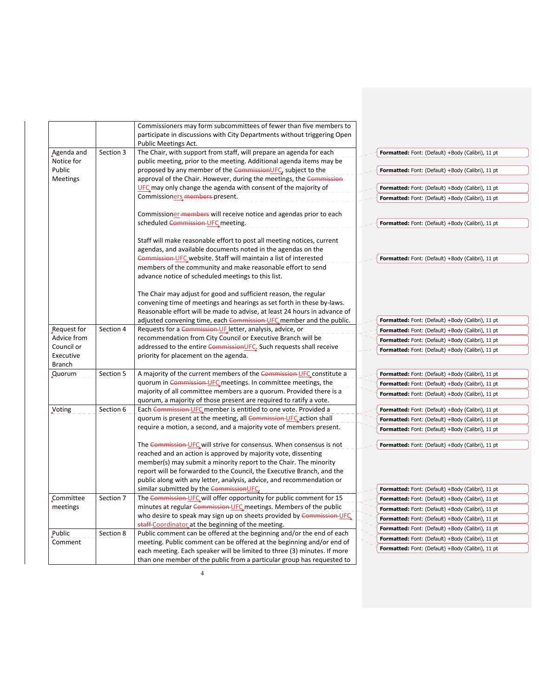|                 |           | Commissioners may form subcommittees of fewer than five members to                               |                                                   |
|-----------------|-----------|--------------------------------------------------------------------------------------------------|---------------------------------------------------|
|                 |           | participate in discussions with City Departments without triggering Open<br>Public Meetings Act. |                                                   |
| Agenda and      | Section 3 | The Chair, with support from staff, will prepare an agenda for each                              | Formatted: Font: (Default) +Body (Calibri), 11 pt |
| Notice for      |           | public meeting, prior to the meeting. Additional agenda items may be                             |                                                   |
| Public          |           | proposed by any member of the CommissionUFC, subject to the                                      | Formatted: Font: (Default) +Body (Calibri), 11 pt |
| <b>Meetings</b> |           | approval of the Chair. However, during the meetings, the Commission                              |                                                   |
|                 |           | UFC may only change the agenda with consent of the majority of                                   | Formatted: Font: (Default) +Body (Calibri), 11 pt |
|                 |           | Commission <u>ers</u> members present.                                                           |                                                   |
|                 |           |                                                                                                  | Formatted: Font: (Default) +Body (Calibri), 11 pt |
|                 |           | Commissioner-members will receive notice and agendas prior to each                               |                                                   |
|                 |           | scheduled Commission-UFC meeting.                                                                | Formatted: Font: (Default) +Body (Calibri), 11 pt |
|                 |           |                                                                                                  |                                                   |
|                 |           | Staff will make reasonable effort to post all meeting notices, current                           |                                                   |
|                 |           | agendas, and available documents noted in the agendas on the                                     |                                                   |
|                 |           | Commission UFC website. Staff will maintain a list of interested                                 | Formatted: Font: (Default) +Body (Calibri), 11 pt |
|                 |           | members of the community and make reasonable effort to send                                      |                                                   |
|                 |           | advance notice of scheduled meetings to this list.                                               |                                                   |
|                 |           |                                                                                                  |                                                   |
|                 |           | The Chair may adjust for good and sufficient reason, the regular                                 |                                                   |
|                 |           | convening time of meetings and hearings as set forth in these by-laws.                           |                                                   |
|                 |           | Reasonable effort will be made to advise, at least 24 hours in advance of                        |                                                   |
|                 |           | adjusted convening time, each Commission-UFC member and the public.                              | Formatted: Font: (Default) +Body (Calibri), 11 pt |
| Request for     | Section 4 | Requests for a Commission-UF letter, analysis, advice, or                                        | Formatted: Font: (Default) +Body (Calibri), 11 pt |
| Advice from     |           | recommendation from City Council or Executive Branch will be                                     |                                                   |
| Council or      |           | addressed to the entire CommissionUFC. Such requests shall receive                               | Formatted: Font: (Default) +Body (Calibri), 11 pt |
| Executive       |           | priority for placement on the agenda.                                                            | Formatted: Font: (Default) +Body (Calibri), 11 pt |
| <b>Branch</b>   |           |                                                                                                  |                                                   |
| Quorum          | Section 5 | A majority of the current members of the Commission-UFC constitute a                             | Formatted: Font: (Default) +Body (Calibri), 11 pt |
|                 |           | quorum in Commission-UFC meetings. In committee meetings, the                                    | Formatted: Font: (Default) +Body (Calibri), 11 pt |
|                 |           | majority of all committee members are a quorum. Provided there is a                              | Formatted: Font: (Default) +Body (Calibri), 11 pt |
|                 |           | quorum, a majority of those present are required to ratify a vote.                               |                                                   |
| Voting          | Section 6 | Each Commission UFC member is entitled to one vote. Provided a                                   | Formatted: Font: (Default) +Body (Calibri), 11 pt |
|                 |           | quorum is present at the meeting, all Commission-UFC action shall                                | Formatted: Font: (Default) +Body (Calibri), 11 pt |
|                 |           | require a motion, a second, and a majority vote of members present.                              | Formatted: Font: (Default) +Body (Calibri), 11 pt |
|                 |           |                                                                                                  |                                                   |
|                 |           | The Commission UFC will strive for consensus. When consensus is not                              | Formatted: Font: (Default) +Body (Calibri), 11 pt |
|                 |           | reached and an action is approved by majority vote, dissenting                                   |                                                   |
|                 |           | member(s) may submit a minority report to the Chair. The minority                                |                                                   |
|                 |           | report will be forwarded to the Council, the Executive Branch, and the                           |                                                   |
|                 |           | public along with any letter, analysis, advice, and recommendation or                            |                                                   |
|                 |           | similar submitted by the CommissionUFC.                                                          | Formatted: Font: (Default) +Body (Calibri), 11 pt |
| Committee       | Section 7 | The Commission-UFC will offer opportunity for public comment for 15                              | Formatted: Font: (Default) +Body (Calibri), 11 pt |
| meetings        |           | minutes at regular Commission-UFC meetings. Members of the public                                | Formatted: Font: (Default) +Body (Calibri), 11 pt |
|                 |           | who desire to speak may sign up on sheets provided by Commission-UFC.                            | Formatted: Font: (Default) +Body (Calibri), 11 pt |
|                 |           | staff-Coordinator at the beginning of the meeting.                                               |                                                   |
| Public          | Section 8 | Public comment can be offered at the beginning and/or the end of each                            | Formatted: Font: (Default) +Body (Calibri), 11 pt |
| Comment         |           | meeting. Public comment can be offered at the beginning and/or end of                            | Formatted: Font: (Default) +Body (Calibri), 11 pt |
|                 |           | each meeting. Each speaker will be limited to three (3) minutes. If more                         | Formatted: Font: (Default) +Body (Calibri), 11 pt |
|                 |           | than one member of the public from a particular group has requested to                           |                                                   |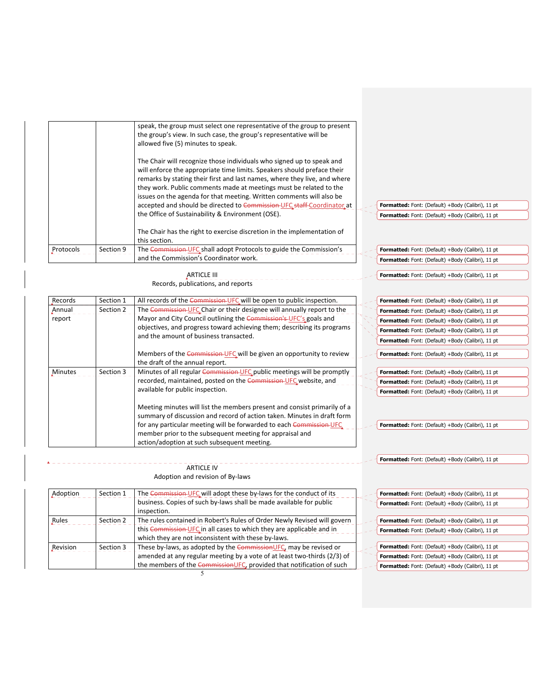|           |           | speak, the group must select one representative of the group to present<br>the group's view. In such case, the group's representative will be<br>allowed five (5) minutes to speak.<br>The Chair will recognize those individuals who signed up to speak and<br>will enforce the appropriate time limits. Speakers should preface their<br>remarks by stating their first and last names, where they live, and where<br>they work. Public comments made at meetings must be related to the<br>issues on the agenda for that meeting. Written comments will also be<br>accepted and should be directed to Commission-UFC staff-Coordinator at<br>the Office of Sustainability & Environment (OSE). | Formatted: Font: (Default) +Body (Calibri), 11 pt<br>Formatted: Font: (Default) +Body (Calibri), 11 pt |
|-----------|-----------|---------------------------------------------------------------------------------------------------------------------------------------------------------------------------------------------------------------------------------------------------------------------------------------------------------------------------------------------------------------------------------------------------------------------------------------------------------------------------------------------------------------------------------------------------------------------------------------------------------------------------------------------------------------------------------------------------|--------------------------------------------------------------------------------------------------------|
|           |           | The Chair has the right to exercise discretion in the implementation of<br>this section.                                                                                                                                                                                                                                                                                                                                                                                                                                                                                                                                                                                                          |                                                                                                        |
| Protocols | Section 9 | The Commission-UFC shall adopt Protocols to guide the Commission's                                                                                                                                                                                                                                                                                                                                                                                                                                                                                                                                                                                                                                | Formatted: Font: (Default) +Body (Calibri), 11 pt                                                      |
|           |           | and the Commission's Coordinator work.                                                                                                                                                                                                                                                                                                                                                                                                                                                                                                                                                                                                                                                            | Formatted: Font: (Default) +Body (Calibri), 11 pt                                                      |

 $\sim$ 

**Formatted:** Font: (Default) +Body (Calibri), 11 pt

**Formatted:** Font: (Default) +Body (Calibri), 11 pt

ARTICLE III Records, publications, and reports

| Records        | Section 1 | All records of the Commission-UFC will be open to public inspection.                                                                                                                                                                                                                                                                  |  | Formatted: Font: (Default) +Body (Calibri), 11 pt |
|----------------|-----------|---------------------------------------------------------------------------------------------------------------------------------------------------------------------------------------------------------------------------------------------------------------------------------------------------------------------------------------|--|---------------------------------------------------|
| Annual         | Section 2 | The Commission-UFC Chair or their designee will annually report to the                                                                                                                                                                                                                                                                |  | Formatted: Font: (Default) +Body (Calibri), 11 pt |
| report         |           | Mayor and City Council outlining the Commission's UFC's goals and                                                                                                                                                                                                                                                                     |  | Formatted: Font: (Default) +Body (Calibri), 11 pt |
|                |           | objectives, and progress toward achieving them; describing its programs                                                                                                                                                                                                                                                               |  | Formatted: Font: (Default) +Body (Calibri), 11 pt |
|                |           | and the amount of business transacted.                                                                                                                                                                                                                                                                                                |  | Formatted: Font: (Default) +Body (Calibri), 11 pt |
|                |           | Members of the Commission-UFC will be given an opportunity to review<br>the draft of the annual report.                                                                                                                                                                                                                               |  | Formatted: Font: (Default) +Body (Calibri), 11 pt |
| <b>Minutes</b> | Section 3 | Minutes of all regular Commission UFC public meetings will be promptly                                                                                                                                                                                                                                                                |  | Formatted: Font: (Default) +Body (Calibri), 11 pt |
|                |           | recorded, maintained, posted on the Commission-UFC website, and                                                                                                                                                                                                                                                                       |  | Formatted: Font: (Default) +Body (Calibri), 11 pt |
|                |           | available for public inspection.                                                                                                                                                                                                                                                                                                      |  | Formatted: Font: (Default) +Body (Calibri), 11 pt |
|                |           | Meeting minutes will list the members present and consist primarily of a<br>summary of discussion and record of action taken. Minutes in draft form<br>for any particular meeting will be forwarded to each Commission UFC<br>member prior to the subsequent meeting for appraisal and<br>action/adoption at such subsequent meeting. |  | Formatted: Font: (Default) +Body (Calibri), 11 pt |

# **ARTICLE IV** Adoption and revision of By‐laws

| Adoption | Section 1 | The Commission-UFC will adopt these by-laws for the conduct of its       |  | Formatted: Font: (Default) +Body (Calibri), 11 pt |
|----------|-----------|--------------------------------------------------------------------------|--|---------------------------------------------------|
|          |           | business. Copies of such by-laws shall be made available for public      |  | Formatted: Font: (Default) +Body (Calibri), 11 pt |
|          |           | inspection.                                                              |  |                                                   |
| Rules    | Section 2 | The rules contained in Robert's Rules of Order Newly Revised will govern |  | Formatted: Font: (Default) +Body (Calibri), 11 pt |
|          |           | this Commission-UFC in all cases to which they are applicable and in     |  | Formatted: Font: (Default) +Body (Calibri), 11 pt |
|          |           | which they are not inconsistent with these by-laws.                      |  |                                                   |
| Revision | Section 3 | These by-laws, as adopted by the CommissionUFC, may be revised or        |  | Formatted: Font: (Default) +Body (Calibri), 11 pt |
|          |           | amended at any regular meeting by a vote of at least two-thirds (2/3) of |  | Formatted: Font: (Default) +Body (Calibri), 11 pt |
|          |           | the members of the CommissionUFC, provided that notification of such     |  | Formatted: Font: (Default) +Body (Calibri), 11 pt |
|          |           |                                                                          |  |                                                   |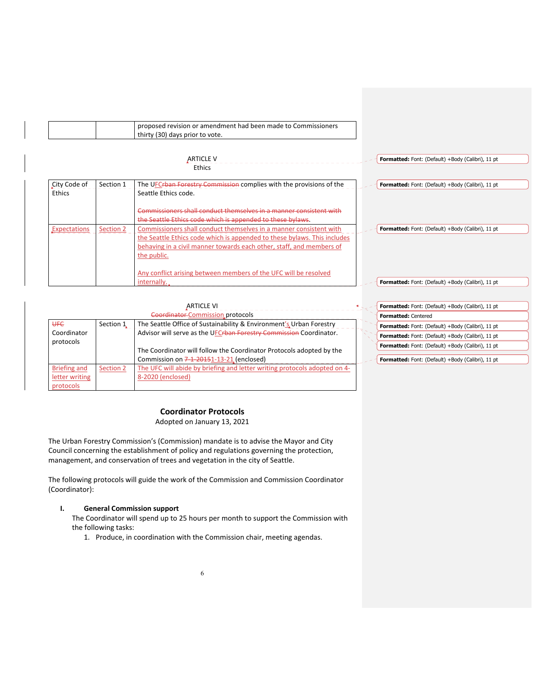| proposed revision or amendment had been made to Commissioners |
|---------------------------------------------------------------|
| thirty (30) days prior to vote.                               |
|                                                               |

|                        |           | <b>ARTICLE V</b>                                                                                                                                                                                                                      | Formatted: Font: (Default) +Body (Calibri), 11 pt |
|------------------------|-----------|---------------------------------------------------------------------------------------------------------------------------------------------------------------------------------------------------------------------------------------|---------------------------------------------------|
|                        |           | Ethics                                                                                                                                                                                                                                |                                                   |
| City Code of<br>Ethics | Section 1 | The UFCrban Forestry Commission complies with the provisions of the<br>Seattle Ethics code.                                                                                                                                           | Formatted: Font: (Default) +Body (Calibri), 11 pt |
|                        |           | Commissioners shall conduct themselves in a manner consistent with<br>the Seattle Ethics code which is appended to these bylaws.                                                                                                      |                                                   |
| Expectations           | Section 2 | Commissioners shall conduct themselves in a manner consistent with<br>the Seattle Ethics code which is appended to these bylaws. This includes<br>behaving in a civil manner towards each other, staff, and members of<br>the public. | Formatted: Font: (Default) +Body (Calibri), 11 pt |
|                        |           | Any conflict arising between members of the UFC will be resolved<br>internally.                                                                                                                                                       | Formatted: Font: (Default) +Body (Calibri), 11 pt |

|                     |           | <b>ARTICLE VI</b>                                                         | Formatted: Font: (Default) +Body (Calibri), 11 pt |
|---------------------|-----------|---------------------------------------------------------------------------|---------------------------------------------------|
|                     |           | Coordinator Commission protocols                                          | <b>Formatted: Centered</b>                        |
| <b>UFC</b>          | Section 1 | The Seattle Office of Sustainability & Environment's Urban Forestry       | Formatted: Font: (Default) +Body (Calibri), 11 pt |
| Coordinator         |           | Advisor will serve as the UFCrban Forestry Commission Coordinator.        | Formatted: Font: (Default) +Body (Calibri), 11 pt |
| protocols           |           | The Coordinator will follow the Coordinator Protocols adopted by the      | Formatted: Font: (Default) +Body (Calibri), 11 pt |
|                     |           | Commission on 7-1-20151-13-21 (enclosed)                                  | Formatted: Font: (Default) +Body (Calibri), 11 pt |
| <b>Briefing and</b> | Section 2 | The UFC will abide by briefing and letter writing protocols adopted on 4- |                                                   |
| letter writing      |           | 8-2020 (enclosed)                                                         |                                                   |
| protocols           |           |                                                                           |                                                   |

# **Coordinator Protocols**

Adopted on January 13, 2021

The Urban Forestry Commission's (Commission) mandate is to advise the Mayor and City Council concerning the establishment of policy and regulations governing the protection, management, and conservation of trees and vegetation in the city of Seattle.

The following protocols will guide the work of the Commission and Commission Coordinator (Coordinator):

# **I. General Commission support**

The Coordinator will spend up to 25 hours per month to support the Commission with the following tasks:

1. Produce, in coordination with the Commission chair, meeting agendas.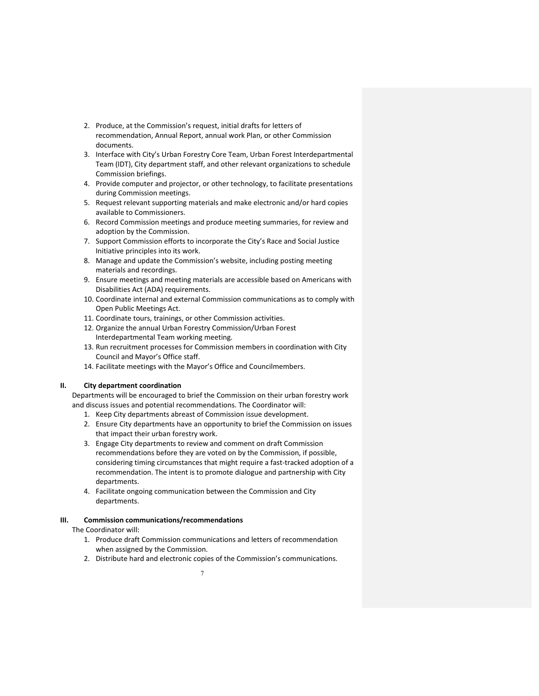- 2. Produce, at the Commission's request, initial drafts for letters of recommendation, Annual Report, annual work Plan, or other Commission documents.
- 3. Interface with City's Urban Forestry Core Team, Urban Forest Interdepartmental Team (IDT), City department staff, and other relevant organizations to schedule Commission briefings.
- 4. Provide computer and projector, or other technology, to facilitate presentations during Commission meetings.
- 5. Request relevant supporting materials and make electronic and/or hard copies available to Commissioners.
- 6. Record Commission meetings and produce meeting summaries, for review and adoption by the Commission.
- 7. Support Commission efforts to incorporate the City's Race and Social Justice Initiative principles into its work.
- 8. Manage and update the Commission's website, including posting meeting materials and recordings.
- 9. Ensure meetings and meeting materials are accessible based on Americans with Disabilities Act (ADA) requirements.
- 10. Coordinate internal and external Commission communications as to comply with Open Public Meetings Act.
- 11. Coordinate tours, trainings, or other Commission activities.
- 12. Organize the annual Urban Forestry Commission/Urban Forest Interdepartmental Team working meeting.
- 13. Run recruitment processes for Commission members in coordination with City Council and Mayor's Office staff.
- 14. Facilitate meetings with the Mayor's Office and Councilmembers.

#### **II. City department coordination**

Departments will be encouraged to brief the Commission on their urban forestry work and discuss issues and potential recommendations. The Coordinator will:

- 1. Keep City departments abreast of Commission issue development.
- 2. Ensure City departments have an opportunity to brief the Commission on issues that impact their urban forestry work.
- 3. Engage City departments to review and comment on draft Commission recommendations before they are voted on by the Commission, if possible, considering timing circumstances that might require a fast-tracked adoption of a recommendation. The intent is to promote dialogue and partnership with City departments.
- 4. Facilitate ongoing communication between the Commission and City departments.

## **III. Commission communications/recommendations**

## The Coordinator will:

- 1. Produce draft Commission communications and letters of recommendation when assigned by the Commission.
- 2. Distribute hard and electronic copies of the Commission's communications.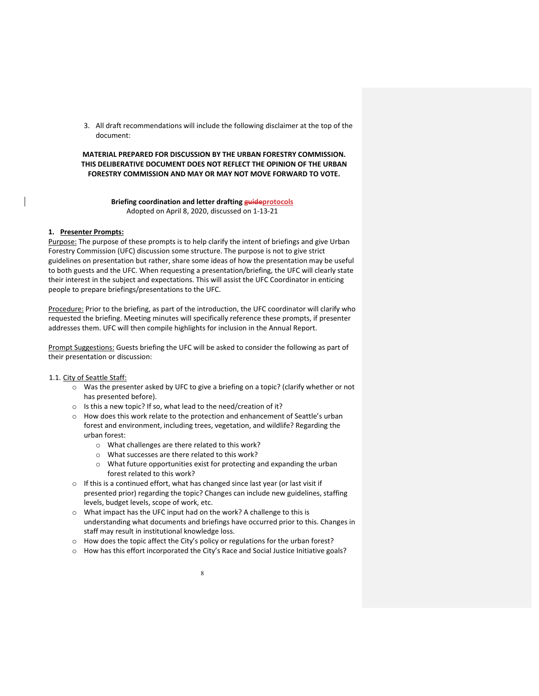3. All draft recommendations will include the following disclaimer at the top of the document:

#### **MATERIAL PREPARED FOR DISCUSSION BY THE URBAN FORESTRY COMMISSION. THIS DELIBERATIVE DOCUMENT DOES NOT REFLECT THE OPINION OF THE URBAN FORESTRY COMMISSION AND MAY OR MAY NOT MOVE FORWARD TO VOTE.**

#### **Briefing coordination and letter drafting guideprotocols** Adopted on April 8, 2020, discussed on 1‐13‐21

#### **1. Presenter Prompts:**

Purpose: The purpose of these prompts is to help clarify the intent of briefings and give Urban Forestry Commission (UFC) discussion some structure. The purpose is not to give strict guidelines on presentation but rather, share some ideas of how the presentation may be useful to both guests and the UFC. When requesting a presentation/briefing, the UFC will clearly state their interest in the subject and expectations. This will assist the UFC Coordinator in enticing people to prepare briefings/presentations to the UFC.

Procedure: Prior to the briefing, as part of the introduction, the UFC coordinator will clarify who requested the briefing. Meeting minutes will specifically reference these prompts, if presenter addresses them. UFC will then compile highlights for inclusion in the Annual Report.

Prompt Suggestions: Guests briefing the UFC will be asked to consider the following as part of their presentation or discussion:

#### 1.1. City of Seattle Staff:

- $\circ$  Was the presenter asked by UFC to give a briefing on a topic? (clarify whether or not has presented before).
- o Is this a new topic? If so, what lead to the need/creation of it?
- o How does this work relate to the protection and enhancement of Seattle's urban forest and environment, including trees, vegetation, and wildlife? Regarding the urban forest:
	- o What challenges are there related to this work?
	- o What successes are there related to this work?
	- o What future opportunities exist for protecting and expanding the urban forest related to this work?
- o If this is a continued effort, what has changed since last year (or last visit if presented prior) regarding the topic? Changes can include new guidelines, staffing levels, budget levels, scope of work, etc.
- o What impact has the UFC input had on the work? A challenge to this is understanding what documents and briefings have occurred prior to this. Changes in staff may result in institutional knowledge loss.
- o How does the topic affect the City's policy or regulations for the urban forest?
- o How has this effort incorporated the City's Race and Social Justice Initiative goals?